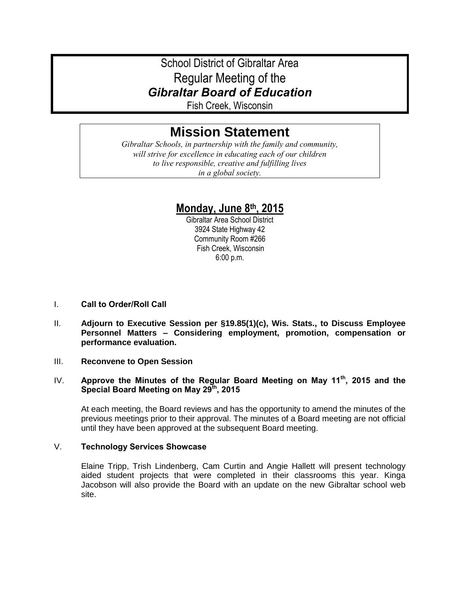# School District of Gibraltar Area Regular Meeting of the *Gibraltar Board of Education*

Fish Creek, Wisconsin

# **Mission Statement**

*Gibraltar Schools, in partnership with the family and community, will strive for excellence in educating each of our children to live responsible, creative and fulfilling lives in a global society.*

# **Monday, June 8th, 2015**

Gibraltar Area School District 3924 State Highway 42 Community Room #266 Fish Creek, Wisconsin 6:00 p.m.

- I. **Call to Order/Roll Call**
- II. **Adjourn to Executive Session per §19.85(1)(c), Wis. Stats., to Discuss Employee Personnel Matters – Considering employment, promotion, compensation or performance evaluation.**
- III. **Reconvene to Open Session**

# IV. **Approve the Minutes of the Regular Board Meeting on May 11th, 2015 and the Special Board Meeting on May 29th, 2015**

At each meeting, the Board reviews and has the opportunity to amend the minutes of the previous meetings prior to their approval. The minutes of a Board meeting are not official until they have been approved at the subsequent Board meeting.

# V. **Technology Services Showcase**

Elaine Tripp, Trish Lindenberg, Cam Curtin and Angie Hallett will present technology aided student projects that were completed in their classrooms this year. Kinga Jacobson will also provide the Board with an update on the new Gibraltar school web site.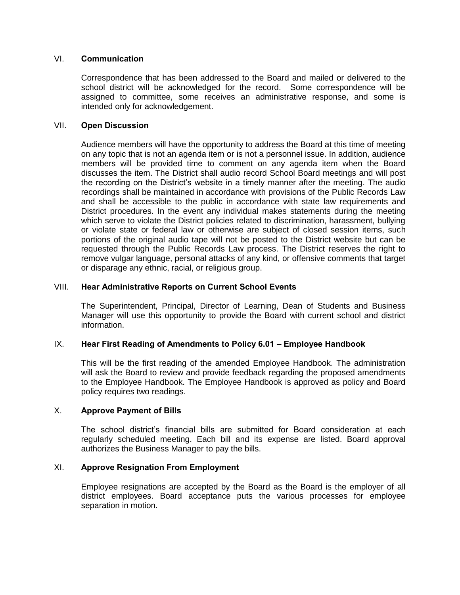#### VI. **Communication**

Correspondence that has been addressed to the Board and mailed or delivered to the school district will be acknowledged for the record. Some correspondence will be assigned to committee, some receives an administrative response, and some is intended only for acknowledgement.

#### VII. **Open Discussion**

Audience members will have the opportunity to address the Board at this time of meeting on any topic that is not an agenda item or is not a personnel issue. In addition, audience members will be provided time to comment on any agenda item when the Board discusses the item. The District shall audio record School Board meetings and will post the recording on the District's website in a timely manner after the meeting. The audio recordings shall be maintained in accordance with provisions of the Public Records Law and shall be accessible to the public in accordance with state law requirements and District procedures. In the event any individual makes statements during the meeting which serve to violate the District policies related to discrimination, harassment, bullying or violate state or federal law or otherwise are subject of closed session items, such portions of the original audio tape will not be posted to the District website but can be requested through the Public Records Law process. The District reserves the right to remove vulgar language, personal attacks of any kind, or offensive comments that target or disparage any ethnic, racial, or religious group.

#### VIII. **Hear Administrative Reports on Current School Events**

The Superintendent, Principal, Director of Learning, Dean of Students and Business Manager will use this opportunity to provide the Board with current school and district information.

# IX. **Hear First Reading of Amendments to Policy 6.01 – Employee Handbook**

This will be the first reading of the amended Employee Handbook. The administration will ask the Board to review and provide feedback regarding the proposed amendments to the Employee Handbook. The Employee Handbook is approved as policy and Board policy requires two readings.

#### X. **Approve Payment of Bills**

The school district's financial bills are submitted for Board consideration at each regularly scheduled meeting. Each bill and its expense are listed. Board approval authorizes the Business Manager to pay the bills.

# XI. **Approve Resignation From Employment**

Employee resignations are accepted by the Board as the Board is the employer of all district employees. Board acceptance puts the various processes for employee separation in motion.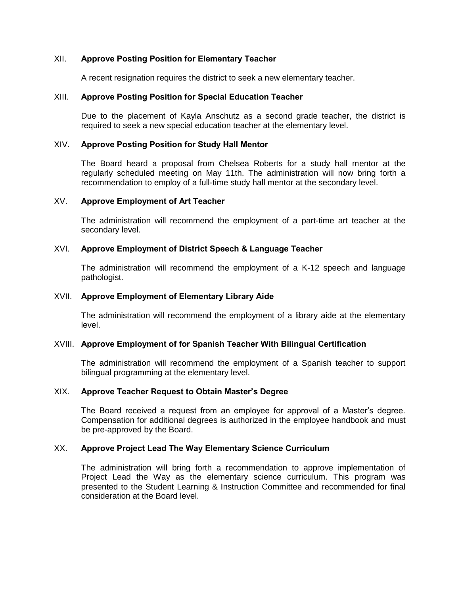#### XII. **Approve Posting Position for Elementary Teacher**

A recent resignation requires the district to seek a new elementary teacher.

#### XIII. **Approve Posting Position for Special Education Teacher**

Due to the placement of Kayla Anschutz as a second grade teacher, the district is required to seek a new special education teacher at the elementary level.

#### XIV. **Approve Posting Position for Study Hall Mentor**

The Board heard a proposal from Chelsea Roberts for a study hall mentor at the regularly scheduled meeting on May 11th. The administration will now bring forth a recommendation to employ of a full-time study hall mentor at the secondary level.

#### XV. **Approve Employment of Art Teacher**

The administration will recommend the employment of a part-time art teacher at the secondary level.

### XVI. **Approve Employment of District Speech & Language Teacher**

The administration will recommend the employment of a K-12 speech and language pathologist.

#### XVII. **Approve Employment of Elementary Library Aide**

The administration will recommend the employment of a library aide at the elementary level.

#### XVIII. **Approve Employment of for Spanish Teacher With Bilingual Certification**

The administration will recommend the employment of a Spanish teacher to support bilingual programming at the elementary level.

#### XIX. **Approve Teacher Request to Obtain Master's Degree**

The Board received a request from an employee for approval of a Master's degree. Compensation for additional degrees is authorized in the employee handbook and must be pre-approved by the Board.

# XX. **Approve Project Lead The Way Elementary Science Curriculum**

The administration will bring forth a recommendation to approve implementation of Project Lead the Way as the elementary science curriculum. This program was presented to the Student Learning & Instruction Committee and recommended for final consideration at the Board level.